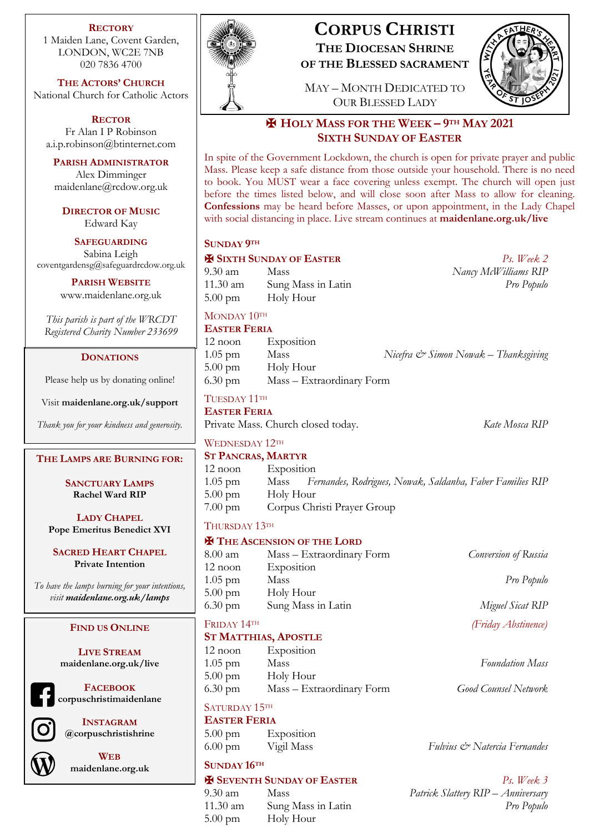**RECTORY**

1 Maiden Lane, Covent Garden, LONDON, WC2E 7NB 020 7836 4700

**THE ACTORS' CHURCH** National Church for Catholic Actors

**RECTOR** Fr Alan I P Robinson a.i.p.robinson@btinternet.com

**PARISH ADMINISTRATOR** Alex Dimminger maidenlane@rcdow.org.uk

**DIRECTOR OF MUSIC** Edward Kay

**SAFEGUARDING** Sabina Leigh coventgardensg@safeguardrcdow.org.uk

> **PARISH WEBSITE** www.maidenlane.org.uk

*This parish is part of the WRCDT Registered Charity Number 233699*

# **DONATIONS**

Please help us by donating online!

Visit **maidenlane.org.uk/support**

*Thank you for your kindness and generosity.*

#### **THE LAMPS ARE BURNING FOR:**

**SANCTUARY LAMPS Rachel Ward RIP**

**LADY CHAPEL Pope Emeritus Benedict XVI**

**SACRED HEART CHAPEL Private Intention**

*To have the lamps burning for your intentions, visit maidenlane.org.uk/lamps*

### **FIND US ONLINE**

**LIVE STREAM maidenlane.org.uk/live**

**FACEBOOK corpuschristimaidenlane**

**INSTAGRAM @corpuschristishrine**



**WEB maidenlane.org.uk**



# **CORPUS CHRISTI THE DIOCESAN SHRINE**

**OF THE BLESSED SACRAMENT**

MAY – MONTH DEDICATED TO OUR BLESSED LADY



# ✠ **HOLY MASS FOR THE WEEK – 9TH MAY 2021 SIXTH SUNDAY OF EASTER**

In spite of the Government Lockdown, the church is open for private prayer and public Mass. Please keep a safe distance from those outside your household. There is no need to book. You MUST wear a face covering unless exempt. The church will open just before the times listed below, and will close soon after Mass to allow for cleaning. **Confessions** may be heard before Masses, or upon appointment, in the Lady Chapel with social distancing in place. Live stream continues at **maidenlane.org.uk/live**

### **SUNDAY 9TH**

✠ **SIXTH SUNDAY OF EASTER** *Ps. Week 2* 9.30 am Mass *Nancy McWilliams RIP* 11.30 am Sung Mass in Latin *Pro Populo* 5.00 pm Holy Hour

MONDAY 10TH

### **EASTER FERIA**

| $12$ noon         | Exposition                |                                                 |
|-------------------|---------------------------|-------------------------------------------------|
| $1.05$ pm         | Mass                      | Nicefra $\mathcal O$ Simon Nowak – Thanksgiving |
| $5.00 \text{ pm}$ | Holy Hour                 |                                                 |
| $6.30 \text{ pm}$ | Mass – Extraordinary Form |                                                 |

TUESDAY 11TH **EASTER FERIA**

Private Mass. Church closed today. *Kate Mosca RIP* 

WEDNESDAY 12TH

#### **ST PANCRAS, MARTYR**

| $12$ noon         | Exposition                                                     |
|-------------------|----------------------------------------------------------------|
| $1.05$ pm         | Mass Fernandes, Rodrigues, Nowak, Saldanha, Faber Families RIP |
| $5.00 \text{ pm}$ | Holy Hour                                                      |
| $7.00 \text{ pm}$ | Corpus Christi Prayer Group                                    |

# THURSDAY 13TH

### ✠ **THE ASCENSION OF THE LORD**

| 8.00 am           | Mass – Extraordinary Form | Conversion of Russia |
|-------------------|---------------------------|----------------------|
| $12$ noon         | Exposition                |                      |
| $1.05$ pm         | Mass                      | Pro Populo           |
| $5.00 \text{ pm}$ | Holy Hour                 |                      |
| $6.30 \text{ pm}$ | Sung Mass in Latin        | Miguel Sicat RIP     |
|                   |                           |                      |

FRIDAY 14TH *(Friday Abstinence)*

### **ST MATTHIAS, APOSTLE**

| $12$ noon         | Exposition                |                             |
|-------------------|---------------------------|-----------------------------|
| $1.05$ pm         | Mass                      | <b>Foundation Mass</b>      |
| $5.00 \text{ pm}$ | Holy Hour                 |                             |
| $6.30 \text{ pm}$ | Mass – Extraordinary Form | <b>Good Counsel Network</b> |

# SATURDAY 15TH

**EASTER FERIA** 5.00 pm Exposition

# **SUNDAY 16TH**

# ✠ **SEVENTH SUNDAY OF EASTER** *Ps. Week 3*

5.00 pm Holy Hour

6.00 pm Vigil Mass *Fulvius & Natercia Fernandes*

9.30 am Mass *Patrick Slattery RIP – Anniversary* 11.30 am Sung Mass in Latin *Pro Populo*